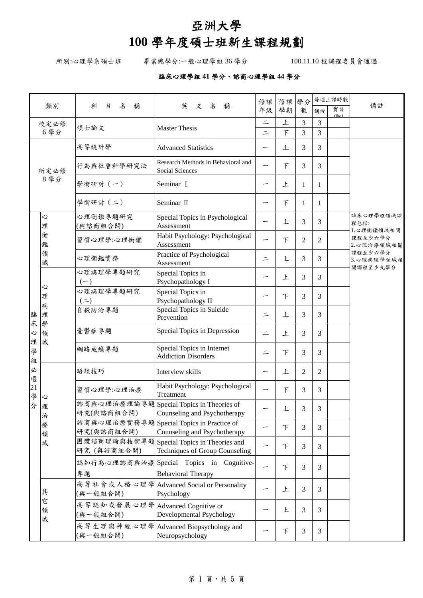## 亞洲大學

## **100** 學年度碩士班新生課程規劃

所別:心理學系碩士班 畢業總學分:一般心理學組 36 學分 100.11.10 校課程委員會通過

## 臨床心理學組 **41** 學分、諮商心理學組 **44** 學分

|                      |                                 |                                             |                                                                              | 修課       | 修課     | 學分 |                | 每週上課時數               |                                   |
|----------------------|---------------------------------|---------------------------------------------|------------------------------------------------------------------------------|----------|--------|----|----------------|----------------------|-----------------------------------|
|                      | 類別                              | 名<br>稱<br>科<br>目                            | 英<br>文名稱                                                                     | 年級       | 學期     | 數  | 講授             | 實習<br>$(E_{\Delta})$ | 備註                                |
|                      | 校定必修                            | 碩士論文                                        | <b>Master Thesis</b>                                                         | $\equiv$ | 上      | 3  | 3              |                      |                                   |
|                      | 6學分                             |                                             |                                                                              | $\equiv$ | $\top$ | 3  | $\overline{3}$ |                      |                                   |
|                      |                                 | 高等統計學                                       | <b>Advanced Statistics</b>                                                   |          | 上      | 3  | 3              |                      |                                   |
|                      | 所定必修                            | 行為與社會科學研究法                                  | Research Methods in Behavioral and<br>Social Sciences                        |          | 下      | 3  | 3              |                      |                                   |
|                      | 8學分                             | 學術研討(一)                                     | Seminar I                                                                    |          | 上      | 1  | 1              |                      |                                   |
|                      |                                 | 學術研討(二)                                     | Seminar II                                                                   |          | 下      | 1  | 1              |                      |                                   |
|                      | Š,<br>理                         | 心理衡鑑專題研究<br>(與諮商組合開)                        | Special Topics in Psychological<br>Assessment                                |          | 上      | 3  | 3              |                      | 臨床心理學程領域課<br>程包括:<br>1.心理衡鑑領域相關   |
|                      | 衡<br>鑑                          | 習慣心理學:心理衡鑑                                  | Habit Psychology: Psychological<br>Assessment                                |          | F      | 2  | $\overline{2}$ |                      | 課程至少六學分<br>2.心理治療領域相關             |
|                      | 領<br>域                          | 心理衡鑑實務                                      | Practice of Psychological<br>Assessment                                      | $\equiv$ | 上      | 3  | 3              |                      | 課程至少六學分<br>3.心理病理學領域相<br>關課程至少九學分 |
|                      | 心<br>理<br>病<br>理<br>學<br>領<br>域 | 心理病理學專題研究<br>$(-)$                          | Special Topics in<br>Psychopathology I                                       | ∽        | 上      | 3  | 3              |                      |                                   |
|                      |                                 | 心理病理學專題研究<br>$($ $\equiv$ $)$               | Special Topics in<br>Psychopathology II                                      |          | F      | 3  | 3              |                      |                                   |
| 臨                    |                                 | 自殺防治專題                                      | Special Topics in Suicide<br>Prevention                                      | $\equiv$ | 上      | 3  | 3              |                      |                                   |
| 床<br>Ž,              |                                 | 憂鬱症專題                                       | Special Topics in Depression                                                 | $\equiv$ | 上      | 3  | 3              |                      |                                   |
| 理<br>學<br>組          |                                 | 網路成癮專題                                      | Special Topics in Internet<br><b>Addiction Disorders</b>                     | $\equiv$ | 下      | 3  | 3              |                      |                                   |
| 必<br>選               |                                 | 晤談技巧                                        | Interview skills                                                             | ∽        | 上      | 2  | $\overline{2}$ |                      |                                   |
| $\overline{21}$<br>學 | 心                               | 習慣心理學:心理治療                                  | Habit Psychology: Psychological<br>Treatment                                 |          | $\top$ | 3  | 3              |                      |                                   |
| 分                    | 理<br>治                          | 研究(與諮商組合開)                                  | 諮商與心理治療理論專題Special Topics in Theories of<br>Counseling and Psychotherapy     |          | Ŀ      | 3  | 3              |                      |                                   |
|                      | 療<br>領                          | 研究(與諮商組合開)                                  | 諮商與心理治療實務專題 Special Topics in Practice of<br>Counseling and Psychotherapy    |          | $\top$ | 3  | 3              |                      |                                   |
|                      | 域                               | 研究 (與諮商組合開)                                 | 團體諮商理論與技術專題 Special Topics in Theories and<br>Techniques of Group Counseling |          | 下      | 3  | 3              |                      |                                   |
|                      |                                 |                                             | 認知行為心理諮商與治療Special Topics in Cognitive-                                      |          | 下      | 3  | 3              |                      |                                   |
|                      |                                 | 專題                                          | <b>Behavioral Therapy</b>                                                    |          |        |    |                |                      |                                   |
|                      | 其                               | (與一般組合開)                                    | 高等社會或人格心理學 Advanced Social or Personality<br>Psychology                      |          | 上      | 3  | 3              |                      |                                   |
|                      | È<br>領<br>域                     | 高等認知或發展心理學Advanced Cognitive or<br>(與一般組合開) | Developmental Psychology                                                     |          | 上      | 3  | 3              |                      |                                   |
|                      |                                 | (與一般組合開)                                    | 高等生理與神經心理學 Advanced Biopsychology and<br>Neuropsychology                     |          | 下      | 3  | 3              |                      |                                   |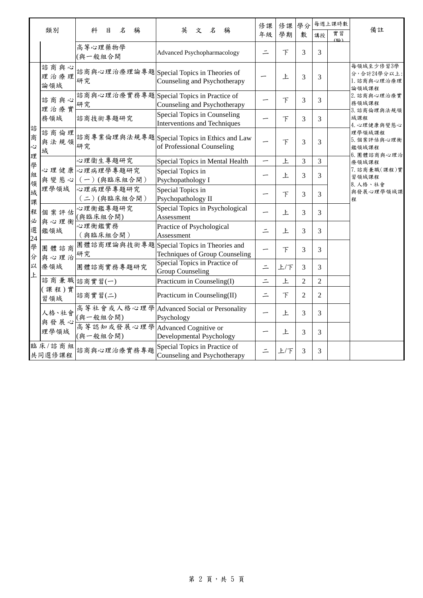|                                | 類別                    | 名<br>稱<br>科<br>目                             | 英<br>名<br>稱<br>文                                                            | 修課<br>年級 | 修課<br>學期                 | 學分<br>數        | 講授             | 每週上課時數<br>實習<br>(睑) | 備註                                               |
|--------------------------------|-----------------------|----------------------------------------------|-----------------------------------------------------------------------------|----------|--------------------------|----------------|----------------|---------------------|--------------------------------------------------|
|                                |                       | 高等心理藥物學<br>(與一般組合開                           | Advanced Psychopharmacology                                                 | $\equiv$ | 下                        | 3              | 3              |                     |                                                  |
|                                | 諮商與心<br>理治療理<br>論領域   | 研究                                           | 諮商與心理治療理論專題Special Topics in Theories of<br>Counseling and Psychotherapy    |          | 上                        | 3              | 3              |                     | 每領域至少修習3學<br>分,合計24學分以上:<br>1. 諮商與心理治療理<br>論領域課程 |
|                                | 諮商與心<br>理治療實          | 研究                                           | 諮商與心理治療實務專題 Special Topics in Practice of<br>Counseling and Psychotherapy   |          | $\top$                   | 3              | 3              |                     | 2. 諮商與心理治療實<br>務領域課程                             |
| 諮                              | 務領域                   | 諮商技術專題研究                                     | Special Topics in Counseling<br>Interventions and Techniques                |          | $\top$                   | 3              | 3              |                     | 3. 諮商倫理與法規領<br>域課程<br>4. 心理健康與變態心                |
| 商<br>$\ddot{\mathcal{C}}$<br>理 | 諮商倫理<br>與法規領<br>域     | 研究                                           | 諮商專業倫理與法規專題 Special Topics in Ethics and Law<br>of Professional Counseling  |          | $\overline{\mathcal{F}}$ | 3              | 3              |                     | 理學領域課程<br>5. 個案評估與心理衡<br>鑑領域課程<br>6. 團體諮商與心理治    |
|                                | 理學領域                  | 心理衛生專題研究                                     | Special Topics in Mental Health                                             |          | 上                        | 3              | 3              |                     | 療領域課程                                            |
| 學組                             |                       | 心理健康心理病理學專題研究<br>與變態心 (一)(與臨床組合開)            | Special Topics in<br>Psychopathology I                                      |          | 上                        | 3              | 3              |                     | 7. 諮商兼職(課程)實<br>習領域課程<br>8. 人格、社會                |
| 領域<br>課                        |                       | 心理病理學專題研究<br>(二)(與臨床組合開)                     | Special Topics in<br>Psychopathology II                                     |          | $\top$                   | 3              | 3              |                     | 與發展心理學領域課<br>程                                   |
| 程                              | 個案評估<br>與心理衡<br>鑑領域   | 心理衡鑑專題研究<br>(與臨床組合開)                         | Special Topics in Psychological<br>Assessment                               |          | 上                        | 3              | 3              |                     |                                                  |
| 必選                             |                       | 心理衡鑑實務<br>(與臨床組合開)                           | Practice of Psychological<br>Assessment                                     | $\equiv$ | 上                        | 3              | 3              |                     |                                                  |
| 24<br>學<br>分                   | 團體諮商<br>與心理治          | 研究                                           | 團體諮商理論與技術專題Special Topics in Theories and<br>Techniques of Group Counseling |          | $\overline{\mathcal{F}}$ | 3              | 3              |                     |                                                  |
| 以<br>上                         | 療領域                   | 團體諮商實務專題研究                                   | Special Topics in Practice of<br><b>Group Counseling</b>                    | $\equiv$ | 上/下                      | 3              | 3              |                     |                                                  |
|                                |                       | 諮商兼職 諮商實習(一)                                 | Practicum in Counseling(I)                                                  | $\equiv$ | 上                        | $\overline{2}$ | $\overline{2}$ |                     |                                                  |
|                                | (課程)實<br>習領域          | 諮商實習(二)                                      | Practicum in Counseling(II)                                                 | $\equiv$ | $\top$                   | 2              | $\overline{2}$ |                     |                                                  |
|                                | 人格、社會<br>與發展心<br>理學領域 | (與一般組合開)                                     | 高等社會或人格心理學 Advanced Social or Personality<br>Psychology                     |          | 上                        | 3              | 3              |                     |                                                  |
|                                |                       | 高等認知或發展心理學 Advanced Cognitive or<br>(與一般組合開) | Developmental Psychology                                                    |          | 上                        | 3              | 3              |                     |                                                  |
|                                | 臨床/諮商組<br>共同選修課程      | 諮商與心理治療實務專題                                  | Special Topics in Practice of<br>Counseling and Psychotherapy               |          | 上/下                      | 3              | 3              |                     |                                                  |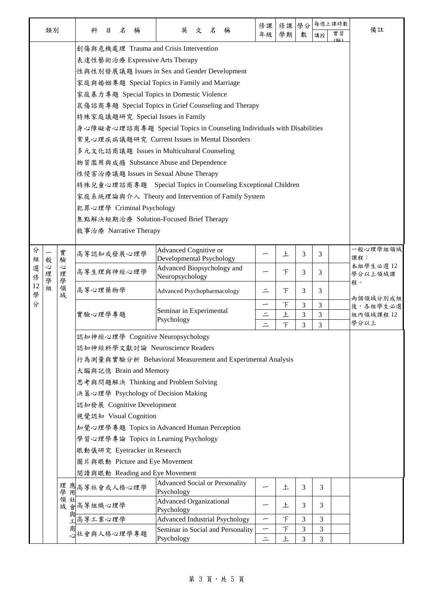|         |                       |                                                                                                             |                                                                                      |                                                                            |                          |             |                |        | 每週上課時數 |                     |  |  |
|---------|-----------------------|-------------------------------------------------------------------------------------------------------------|--------------------------------------------------------------------------------------|----------------------------------------------------------------------------|--------------------------|-------------|----------------|--------|--------|---------------------|--|--|
|         | 類別                    |                                                                                                             | 科<br>稱<br>目<br>$\mathcal{Z}$                                                         | 英<br>文名<br>稱                                                               | 修課<br>年級                 | 修課 學分<br>學期 | 數              | 講授     | 實習     | 備註                  |  |  |
|         |                       |                                                                                                             | 創傷與危機處理 Trauma and Crisis Intervention                                               |                                                                            |                          |             |                |        | (联公)   |                     |  |  |
|         |                       |                                                                                                             |                                                                                      |                                                                            |                          |             |                |        |        |                     |  |  |
|         |                       |                                                                                                             | 表達性藝術治療 Expressive Arts Therapy                                                      | 性與性別發展議題 Issues in Sex and Gender Development                              |                          |             |                |        |        |                     |  |  |
|         |                       |                                                                                                             |                                                                                      |                                                                            |                          |             |                |        |        |                     |  |  |
|         |                       | 家庭與婚姻專題 Special Topics in Family and Marriage<br>家庭暴力專題 Special Topics in Domestic Violence                 |                                                                                      |                                                                            |                          |             |                |        |        |                     |  |  |
|         |                       |                                                                                                             |                                                                                      |                                                                            |                          |             |                |        |        |                     |  |  |
|         |                       |                                                                                                             |                                                                                      |                                                                            |                          |             |                |        |        |                     |  |  |
|         |                       | 特殊家庭議題研究 Special Issues in Family<br>身心障礙者心理諮商專題 Special Topics in Counseling Individuals with Disabilities |                                                                                      |                                                                            |                          |             |                |        |        |                     |  |  |
|         |                       |                                                                                                             |                                                                                      |                                                                            |                          |             |                |        |        |                     |  |  |
|         |                       |                                                                                                             |                                                                                      | 常見心理疾病議題研究 Current Issues in Mental Disorders                              |                          |             |                |        |        |                     |  |  |
|         |                       |                                                                                                             |                                                                                      | 多元文化諮商議題 Issues in Multicultural Counseling                                |                          |             |                |        |        |                     |  |  |
|         |                       |                                                                                                             |                                                                                      | 物質濫用與成瘾 Substance Abuse and Dependence                                     |                          |             |                |        |        |                     |  |  |
|         |                       |                                                                                                             | 性侵害治療議題 Issues in Sexual Abuse Therapy                                               |                                                                            |                          |             |                |        |        |                     |  |  |
|         |                       |                                                                                                             |                                                                                      | 特殊兒童心理諮商專題 Special Topics in Counseling Exceptional Children               |                          |             |                |        |        |                     |  |  |
|         |                       |                                                                                                             |                                                                                      | 家庭系統理論與介入 Theory and Intervention of Family System                         |                          |             |                |        |        |                     |  |  |
|         |                       |                                                                                                             | 犯罪心理學 Criminal Psychology                                                            |                                                                            |                          |             |                |        |        |                     |  |  |
|         |                       |                                                                                                             |                                                                                      | 焦點解決短期治療 Solution-Focused Brief Therapy                                    |                          |             |                |        |        |                     |  |  |
|         |                       |                                                                                                             | 敘事治療 Narrative Therapy                                                               |                                                                            |                          |             |                |        |        |                     |  |  |
|         |                       |                                                                                                             |                                                                                      |                                                                            |                          |             |                |        |        |                     |  |  |
| 分<br>組  | 般<br>心<br>理<br>學<br>組 | 實驗                                                                                                          | 高等認知或發展心理學                                                                           | <b>Advanced Cognitive or</b><br>Developmental Psychology                   |                          | 上           | 3              | 3      |        | 一般心理學組領域<br>課程:     |  |  |
| 選<br>俢  |                       | 心<br>理                                                                                                      | 高等生理與神經心理學                                                                           | Advanced Biopsychology and<br>Neuropsychology                              |                          | F           | 3              | 3      |        | 本組學生必選12<br>學分以上領域課 |  |  |
| 12<br>學 |                       | 學<br>領<br>域                                                                                                 | 高等心理藥物學                                                                              | <b>Advanced Psychopharmacology</b>                                         | 二                        | F           | 3              | 3      |        | 程。<br>兩個領域分別成組      |  |  |
| 分       |                       |                                                                                                             |                                                                                      |                                                                            | —                        | $\top$      | 3              | 3      |        | 後,各組學生必選            |  |  |
|         |                       |                                                                                                             | 實驗心理學專題                                                                              | Seminar in Experimental<br>Psychology                                      | $\equiv$                 | 上           | 3              | 3      |        | 組內領域課程 12           |  |  |
|         |                       |                                                                                                             |                                                                                      |                                                                            | $\equiv$                 | 下           | 3              | 3      |        | 學分以上                |  |  |
|         |                       |                                                                                                             | 認知神經心理學 Cognitive Neuropsychology                                                    |                                                                            |                          |             |                |        |        |                     |  |  |
|         |                       |                                                                                                             | 認知神經科學文獻討論 Neuroscience Readers                                                      |                                                                            |                          |             |                |        |        |                     |  |  |
|         |                       |                                                                                                             | 行為測量與實驗分析 Behavioral Measurement and Experimental Analysis                           |                                                                            |                          |             |                |        |        |                     |  |  |
|         |                       |                                                                                                             | 大腦與記憶 Brain and Memory                                                               |                                                                            |                          |             |                |        |        |                     |  |  |
|         |                       |                                                                                                             | 思考與問題解決 Thinking and Problem Solving                                                 |                                                                            |                          |             |                |        |        |                     |  |  |
|         |                       |                                                                                                             | 決策心理學 Psychology of Decision Making                                                  |                                                                            |                          |             |                |        |        |                     |  |  |
|         |                       |                                                                                                             | 認知發展 Cognitive Development                                                           |                                                                            |                          |             |                |        |        |                     |  |  |
|         |                       |                                                                                                             | 視覺認知 Visual Cognition                                                                |                                                                            |                          |             |                |        |        |                     |  |  |
|         |                       |                                                                                                             | 知覺心理學專題 Topics in Advanced Human Perception<br>學習心理學專論 Topics in Learning Psychology |                                                                            |                          |             |                |        |        |                     |  |  |
|         |                       |                                                                                                             |                                                                                      |                                                                            |                          |             |                |        |        |                     |  |  |
|         |                       |                                                                                                             |                                                                                      |                                                                            |                          |             |                |        |        |                     |  |  |
|         |                       |                                                                                                             |                                                                                      | 眼動儀研究 Eyetracker in Research<br>圖片與眼動 Picture and Eye Movement             |                          |             |                |        |        |                     |  |  |
|         |                       |                                                                                                             |                                                                                      |                                                                            |                          |             |                |        |        |                     |  |  |
|         |                       |                                                                                                             | 閱讀與眼動 Reading and Eye Movement                                                       | <b>Advanced Social or Personality</b>                                      |                          |             |                |        |        |                     |  |  |
|         |                       |                                                                                                             | 理 應高等社會或人格心理學<br>學 用                                                                 | Psychology                                                                 |                          | 上           | 3              | 3      |        |                     |  |  |
|         |                       | 領社                                                                                                          | 域會高等組織心理學                                                                            | <b>Advanced Organizational</b>                                             |                          | 上           | 3              | 3      |        |                     |  |  |
|         |                       | 與工                                                                                                          |                                                                                      | Psychology                                                                 | $\overline{\phantom{0}}$ | $\top$      |                |        |        |                     |  |  |
|         |                       |                                                                                                             | 高等工業心理學                                                                              | <b>Advanced Industrial Psychology</b><br>Seminar in Social and Personality |                          | $\top$      | 3<br>3         | 3<br>3 |        |                     |  |  |
|         |                       |                                                                                                             | 心社會與人格心理學專題                                                                          | Psychology                                                                 | $\equiv$                 | 上           | $\overline{3}$ | 3      |        |                     |  |  |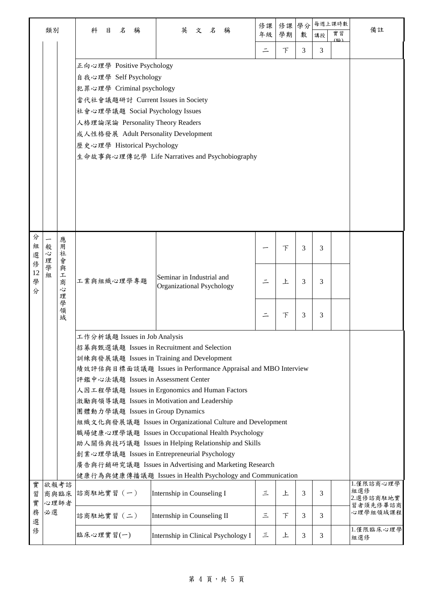|                                  |                                                                                                                                                                                                                                                                                                                                                                                                                                                                                                                                                                                                                                                                                                                           |                                                |                                                                                                                                                                                                                                                                                                                         |  | 修課                                                     | 修課 | 學分 | 每週上課時數 |          |        |        |        |     |                               |
|----------------------------------|---------------------------------------------------------------------------------------------------------------------------------------------------------------------------------------------------------------------------------------------------------------------------------------------------------------------------------------------------------------------------------------------------------------------------------------------------------------------------------------------------------------------------------------------------------------------------------------------------------------------------------------------------------------------------------------------------------------------------|------------------------------------------------|-------------------------------------------------------------------------------------------------------------------------------------------------------------------------------------------------------------------------------------------------------------------------------------------------------------------------|--|--------------------------------------------------------|----|----|--------|----------|--------|--------|--------|-----|-------------------------------|
|                                  | 類別                                                                                                                                                                                                                                                                                                                                                                                                                                                                                                                                                                                                                                                                                                                        |                                                | 科<br>目<br>名<br>稱                                                                                                                                                                                                                                                                                                        |  | 英<br>文名<br>稱                                           | 年級 | 學期 | 數      | 講授       | 實習     | 備註     |        |     |                               |
|                                  |                                                                                                                                                                                                                                                                                                                                                                                                                                                                                                                                                                                                                                                                                                                           |                                                |                                                                                                                                                                                                                                                                                                                         |  |                                                        |    |    |        | $\equiv$ | 下      | 3      | 3      | (脸) |                               |
|                                  |                                                                                                                                                                                                                                                                                                                                                                                                                                                                                                                                                                                                                                                                                                                           |                                                | 正向心理學 Positive Psychology<br>自我心理學 Self Psychology<br>犯罪心理學 Criminal psychology<br>當代社會議題研討 Current Issues in Society<br>社會心理學議題 Social Psychology Issues<br>人格理論深論 Personality Theory Readers<br>成人性格發展 Adult Personality Development<br>歷史心理學 Historical Psychology<br>生命故事與心理傳記學 Life Narratives and Psychobiography |  |                                                        |    |    |        |          |        |        |        |     |                               |
| 分<br>組<br>選<br>俢<br>12<br>學<br>分 | 般<br>心<br>理<br>學<br>细                                                                                                                                                                                                                                                                                                                                                                                                                                                                                                                                                                                                                                                                                                     | 應<br>用<br>社<br>.<br>曾<br>與<br>工<br>商<br>心<br>理 | 工業與組織心理學專題                                                                                                                                                                                                                                                                                                              |  | Seminar in Industrial and<br>Organizational Psychology |    |    |        |          | 下<br>上 | 3<br>3 | 3<br>3 |     |                               |
|                                  |                                                                                                                                                                                                                                                                                                                                                                                                                                                                                                                                                                                                                                                                                                                           | 學領域                                            |                                                                                                                                                                                                                                                                                                                         |  |                                                        |    |    |        | 下        | 3      | 3      |        |     |                               |
|                                  | 工作分析議題 Issues in Job Analysis<br>招募與甄選議題 Issues in Recruitment and Selection<br>訓練與發展議題 Issues in Training and Development<br>績效評估與目標面談議題 Issues in Performance Appraisal and MBO Interview<br>評鑑中心法議題 Issues in Assessment Center<br>人因工程學議題 Issues in Ergonomics and Human Factors<br>激勵與領導議題 Issues in Motivation and Leadership<br>團體動力學議題 Issues in Group Dynamics<br>組織文化與發展議題 Issues in Organizational Culture and Development<br>職場健康心理學議題 Issues in Occupational Health Psychology<br>助人關係與技巧議題 Issues in Helping Relationship and Skills<br>創業心理學議題 Issues in Entrepreneurial Psychology<br>廣告與行銷研究議題 Issues in Advertising and Marketing Research<br>健康行為與健康傳播議題 Issues in Health Psychology and Communication |                                                |                                                                                                                                                                                                                                                                                                                         |  |                                                        |    |    |        |          |        |        |        |     |                               |
| 實<br>習<br>實                      | 欲報考諮<br>商與臨床<br>心理師者                                                                                                                                                                                                                                                                                                                                                                                                                                                                                                                                                                                                                                                                                                      |                                                | 諮商駐地實習 (一)                                                                                                                                                                                                                                                                                                              |  | Internship in Counseling I                             |    |    |        | Ξ        | 上      | 3      | 3      |     | 1.僅限諮商心理學<br>組選修<br>2.選修諮商駐地實 |
| 務<br>選                           | 必選                                                                                                                                                                                                                                                                                                                                                                                                                                                                                                                                                                                                                                                                                                                        |                                                | 諮商駐地實習 (二)                                                                                                                                                                                                                                                                                                              |  | Internship in Counseling II                            |    |    |        | 三        | F      | 3      | 3      |     | 習者須先修畢諮商<br>心理學組領域課程          |
| 俢                                |                                                                                                                                                                                                                                                                                                                                                                                                                                                                                                                                                                                                                                                                                                                           |                                                | 臨床心理實習(一)                                                                                                                                                                                                                                                                                                               |  | Internship in Clinical Psychology I                    |    |    |        | 三        | 上      | 3      | 3      |     | 1.僅限臨床心理學<br>組選修              |